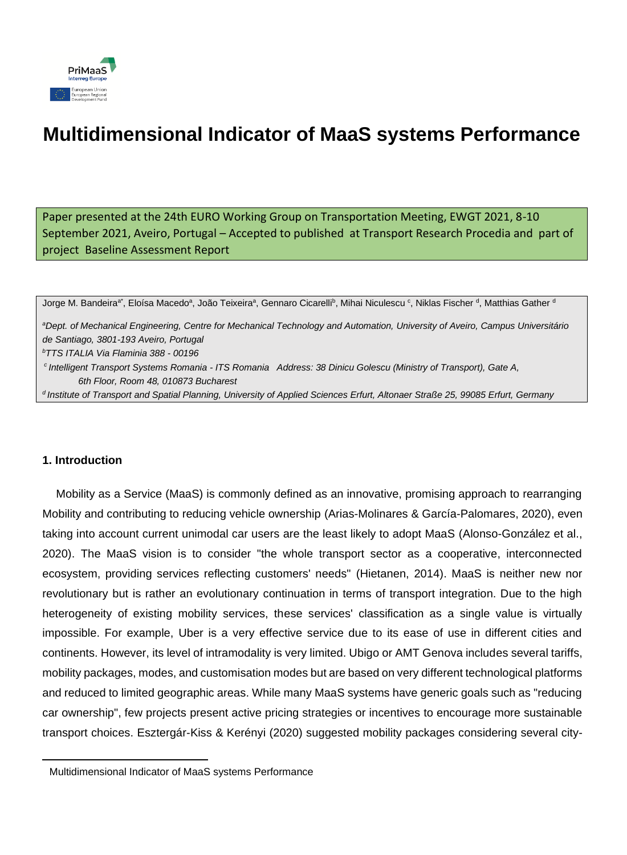

# **Multidimensional Indicator of MaaS systems Performance**

Paper presented at the 24th EURO Working Group on Transportation Meeting, EWGT 2021, 8-10 September 2021, Aveiro, Portugal – Accepted to published at Transport Research Procedia and part of project Baseline Assessment Report

Jorge M. Bandeiraª,Eloísa Macedoª, João Teixeiraª, Gennaro Cicarelli<sup>b</sup>, Mihai Niculescu <sup>c</sup>, Niklas Fischer <sup>d</sup>, Matthias Gather <sup>d</sup> *<sup>a</sup>Dept. of Mechanical Engineering, Centre for Mechanical Technology and Automation, University of Aveiro, Campus Universitário de Santiago, 3801-193 Aveiro, Portugal <sup>b</sup>TTS ITALIA Via Flaminia 388 - 00196 c Intelligent Transport Systems Romania - ITS Romania Address: 38 Dinicu Golescu (Ministry of Transport), Gate A, 6th Floor, Room 48, 010873 Bucharest d Institute of Transport and Spatial Planning, University of Applied Sciences Erfurt, Altonaer Straße 25, 99085 Erfurt, Germany*

## **1. Introduction**

Mobility as a Service (MaaS) is commonly defined as an innovative, promising approach to rearranging Mobility and contributing to reducing vehicle ownership (Arias-Molinares & García-Palomares, 2020), even taking into account current unimodal car users are the least likely to adopt MaaS (Alonso-González et al., 2020). The MaaS vision is to consider "the whole transport sector as a cooperative, interconnected ecosystem, providing services reflecting customers' needs" (Hietanen, 2014). MaaS is neither new nor revolutionary but is rather an evolutionary continuation in terms of transport integration. Due to the high heterogeneity of existing mobility services, these services' classification as a single value is virtually impossible. For example, Uber is a very effective service due to its ease of use in different cities and continents. However, its level of intramodality is very limited. Ubigo or AMT Genova includes several tariffs, mobility packages, modes, and customisation modes but are based on very different technological platforms and reduced to limited geographic areas. While many MaaS systems have generic goals such as "reducing car ownership", few projects present active pricing strategies or incentives to encourage more sustainable transport choices. Esztergár-Kiss & Kerényi (2020) suggested mobility packages considering several city-

Multidimensional Indicator of MaaS systems Performance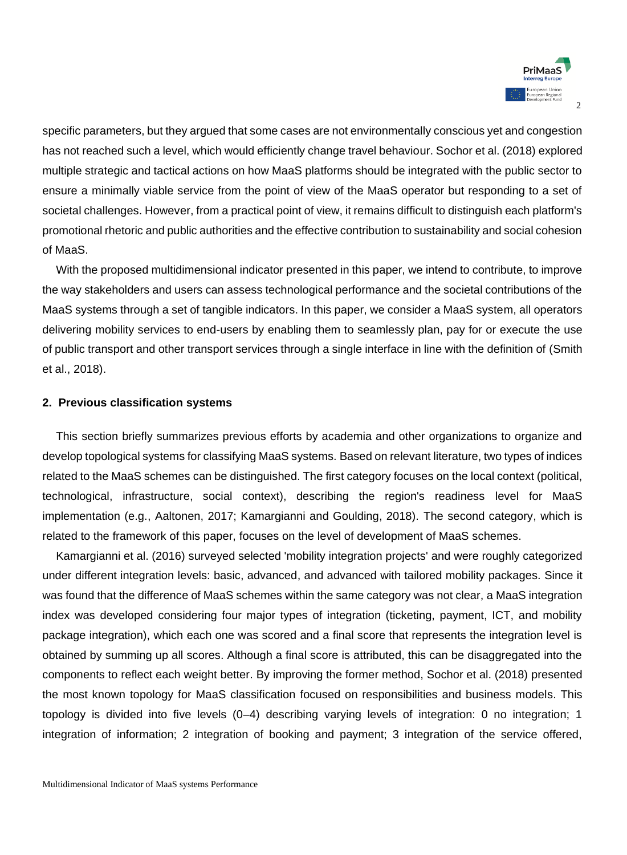

specific parameters, but they argued that some cases are not environmentally conscious yet and congestion has not reached such a level, which would efficiently change travel behaviour. Sochor et al. (2018) explored multiple strategic and tactical actions on how MaaS platforms should be integrated with the public sector to ensure a minimally viable service from the point of view of the MaaS operator but responding to a set of societal challenges. However, from a practical point of view, it remains difficult to distinguish each platform's promotional rhetoric and public authorities and the effective contribution to sustainability and social cohesion of MaaS.

With the proposed multidimensional indicator presented in this paper, we intend to contribute, to improve the way stakeholders and users can assess technological performance and the societal contributions of the MaaS systems through a set of tangible indicators. In this paper, we consider a MaaS system, all operators delivering mobility services to end-users by enabling them to seamlessly plan, pay for or execute the use of public transport and other transport services through a single interface in line with the definition of (Smith et al., 2018).

### **2. Previous classification systems**

This section briefly summarizes previous efforts by academia and other organizations to organize and develop topological systems for classifying MaaS systems. Based on relevant literature, two types of indices related to the MaaS schemes can be distinguished. The first category focuses on the local context (political, technological, infrastructure, social context), describing the region's readiness level for MaaS implementation (e.g., Aaltonen, 2017; Kamargianni and Goulding, 2018). The second category, which is related to the framework of this paper, focuses on the level of development of MaaS schemes.

Kamargianni et al. (2016) surveyed selected 'mobility integration projects' and were roughly categorized under different integration levels: basic, advanced, and advanced with tailored mobility packages. Since it was found that the difference of MaaS schemes within the same category was not clear, a MaaS integration index was developed considering four major types of integration (ticketing, payment, ICT, and mobility package integration), which each one was scored and a final score that represents the integration level is obtained by summing up all scores. Although a final score is attributed, this can be disaggregated into the components to reflect each weight better. By improving the former method, Sochor et al. (2018) presented the most known topology for MaaS classification focused on responsibilities and business models. This topology is divided into five levels (0–4) describing varying levels of integration: 0 no integration; 1 integration of information; 2 integration of booking and payment; 3 integration of the service offered,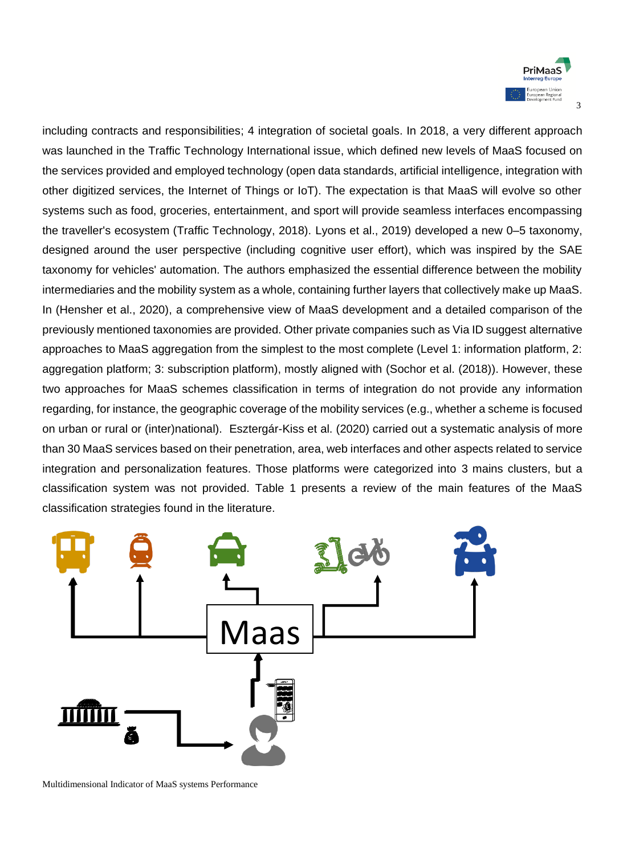

including contracts and responsibilities; 4 integration of societal goals. In 2018, a very different approach was launched in the Traffic Technology International issue, which defined new levels of MaaS focused on the services provided and employed technology (open data standards, artificial intelligence, integration with other digitized services, the Internet of Things or IoT). The expectation is that MaaS will evolve so other systems such as food, groceries, entertainment, and sport will provide seamless interfaces encompassing the traveller's ecosystem (Traffic Technology, 2018). Lyons et al., 2019) developed a new 0–5 taxonomy, designed around the user perspective (including cognitive user effort), which was inspired by the SAE taxonomy for vehicles' automation. The authors emphasized the essential difference between the mobility intermediaries and the mobility system as a whole, containing further layers that collectively make up MaaS. In (Hensher et al., 2020), a comprehensive view of MaaS development and a detailed comparison of the previously mentioned taxonomies are provided. Other private companies such as Via ID suggest alternative approaches to MaaS aggregation from the simplest to the most complete (Level 1: information platform, 2: aggregation platform; 3: subscription platform), mostly aligned with (Sochor et al. (2018)). However, these two approaches for MaaS schemes classification in terms of integration do not provide any information regarding, for instance, the geographic coverage of the mobility services (e.g., whether a scheme is focused on urban or rural or (inter)national). Esztergár-Kiss et al. (2020) carried out a systematic analysis of more than 30 MaaS services based on their penetration, area, web interfaces and other aspects related to service integration and personalization features. Those platforms were categorized into 3 mains clusters, but a classification system was not provided. Table 1 presents a review of the main features of the MaaS classification strategies found in the literature.



Multidimensional Indicator of MaaS systems Performance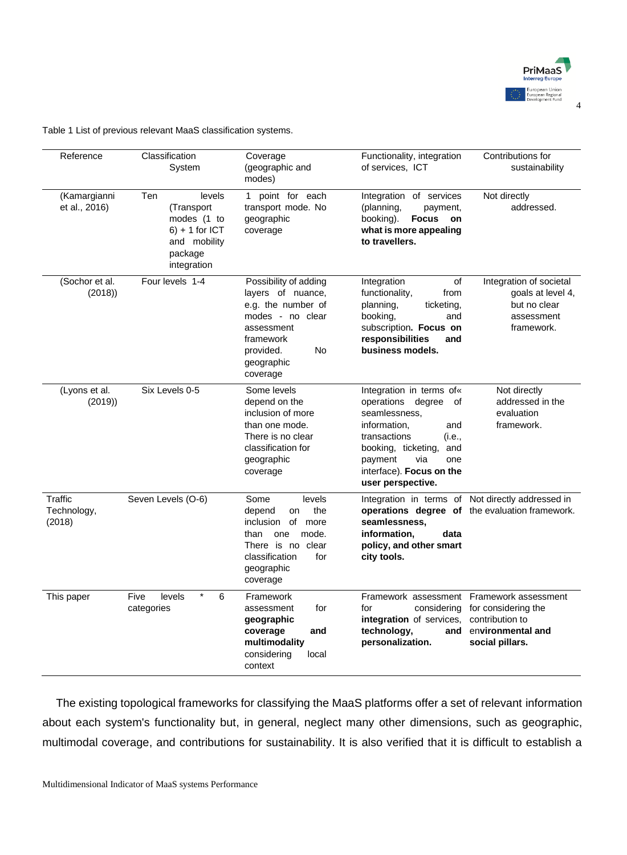

Table 1 List of previous relevant MaaS classification systems.

| Reference                                                                                                                                  | Classification<br>System                     | Coverage<br>(geographic and<br>modes)                                                                                                                                | Functionality, integration<br>of services, ICT                                                                                                                                                                              | Contributions for<br>sustainability                                                                 |
|--------------------------------------------------------------------------------------------------------------------------------------------|----------------------------------------------|----------------------------------------------------------------------------------------------------------------------------------------------------------------------|-----------------------------------------------------------------------------------------------------------------------------------------------------------------------------------------------------------------------------|-----------------------------------------------------------------------------------------------------|
| (Kamargianni<br>Ten<br>levels<br>et al., 2016)<br>(Transport<br>modes (1 to<br>$6$ ) + 1 for ICT<br>and mobility<br>package<br>integration |                                              | 1 point for each<br>transport mode. No<br>geographic<br>coverage                                                                                                     | Integration of services<br>(planning,<br>payment,<br><b>Focus</b><br>booking).<br>on<br>what is more appealing<br>to travellers.                                                                                            | Not directly<br>addressed.                                                                          |
| (Sochor et al.<br>(2018)                                                                                                                   | Four levels 1-4                              | Possibility of adding<br>layers of nuance,<br>e.g. the number of<br>modes - no clear<br>assessment<br>framework<br><b>No</b><br>provided.<br>geographic<br>coverage  | of<br>Integration<br>functionality,<br>from<br>planning,<br>ticketing,<br>booking.<br>and<br>subscription. Focus on<br>responsibilities<br>and<br>business models.                                                          | Integration of societal<br>goals at level 4,<br>but no clear<br>assessment<br>framework.            |
| Six Levels 0-5<br>(Lyons et al.<br>(2019)                                                                                                  |                                              | Some levels<br>depend on the<br>inclusion of more<br>than one mode.<br>There is no clear<br>classification for<br>geographic<br>coverage                             | Integration in terms of«<br>operations degree<br>0f<br>seamlessness,<br>information,<br>and<br>transactions<br>(i.e<br>booking, ticketing,<br>and<br>payment<br>via<br>one<br>interface). Focus on the<br>user perspective. |                                                                                                     |
| Traffic<br>Technology,<br>(2018)                                                                                                           | Seven Levels (O-6)                           | Some<br>levels<br>depend<br>the<br>on<br>of more<br><i>inclusion</i><br>than<br>one<br>mode.<br>There is no clear<br>classification<br>for<br>geographic<br>coverage | seamlessness.<br>information.<br>data<br>policy, and other smart<br>city tools.                                                                                                                                             | Integration in terms of Not directly addressed in<br>operations degree of the evaluation framework. |
| This paper                                                                                                                                 | $\star$<br>Five<br>levels<br>6<br>categories | Framework<br>for<br>assessment<br>geographic<br>coverage<br>and<br>multimodality<br>considering<br>local<br>context                                                  | Framework assessment Framework assessment<br>for<br>considering<br>integration of services,<br>technology,<br>personalization.                                                                                              | for considering the<br>contribution to<br>and environmental and<br>social pillars.                  |

The existing topological frameworks for classifying the MaaS platforms offer a set of relevant information about each system's functionality but, in general, neglect many other dimensions, such as geographic, multimodal coverage, and contributions for sustainability. It is also verified that it is difficult to establish a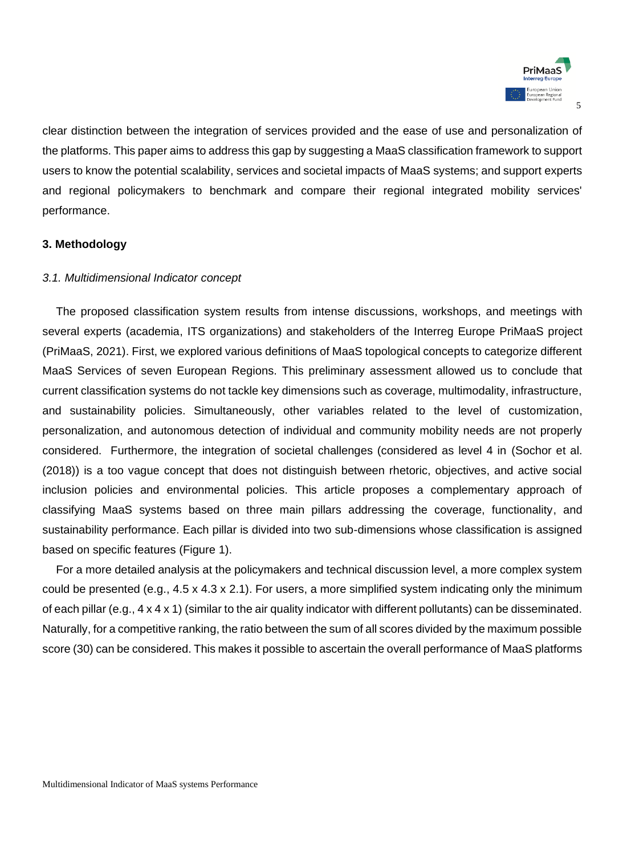

clear distinction between the integration of services provided and the ease of use and personalization of the platforms. This paper aims to address this gap by suggesting a MaaS classification framework to support users to know the potential scalability, services and societal impacts of MaaS systems; and support experts and regional policymakers to benchmark and compare their regional integrated mobility services' performance.

## **3. Methodology**

## *3.1. Multidimensional Indicator concept*

The proposed classification system results from intense discussions, workshops, and meetings with several experts (academia, ITS organizations) and stakeholders of the Interreg Europe PriMaaS project (PriMaaS, 2021). First, we explored various definitions of MaaS topological concepts to categorize different MaaS Services of seven European Regions. This preliminary assessment allowed us to conclude that current classification systems do not tackle key dimensions such as coverage, multimodality, infrastructure, and sustainability policies. Simultaneously, other variables related to the level of customization, personalization, and autonomous detection of individual and community mobility needs are not properly considered. Furthermore, the integration of societal challenges (considered as level 4 in (Sochor et al. (2018)) is a too vague concept that does not distinguish between rhetoric, objectives, and active social inclusion policies and environmental policies. This article proposes a complementary approach of classifying MaaS systems based on three main pillars addressing the coverage, functionality, and sustainability performance. Each pillar is divided into two sub-dimensions whose classification is assigned based on specific features (Figure 1).

For a more detailed analysis at the policymakers and technical discussion level, a more complex system could be presented (e.g., 4.5 x 4.3 x 2.1). For users, a more simplified system indicating only the minimum of each pillar (e.g., 4 x 4 x 1) (similar to the air quality indicator with different pollutants) can be disseminated. Naturally, for a competitive ranking, the ratio between the sum of all scores divided by the maximum possible score (30) can be considered. This makes it possible to ascertain the overall performance of MaaS platforms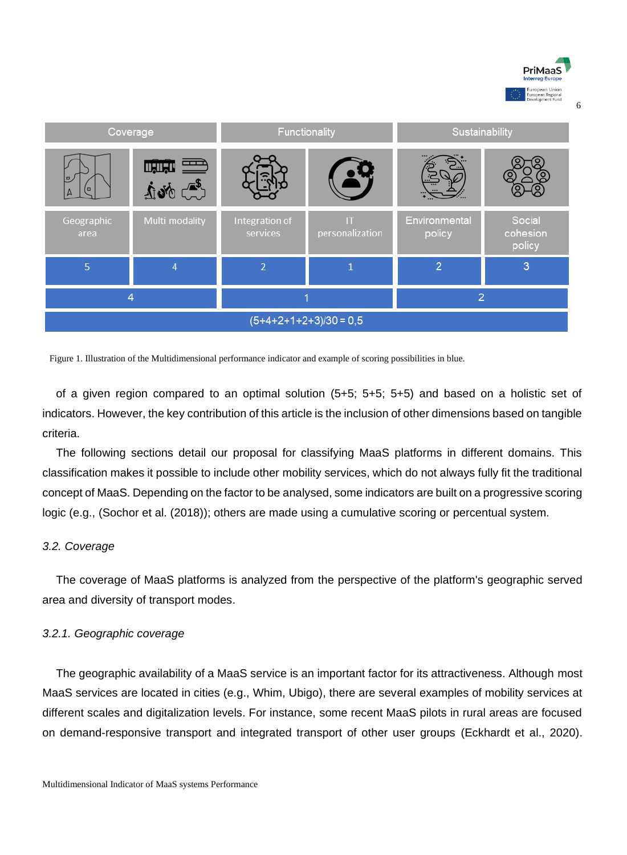

6

| Coverage                 |                    | Functionality              |                                           | Sustainability          |                              |  |
|--------------------------|--------------------|----------------------------|-------------------------------------------|-------------------------|------------------------------|--|
| o                        | میں ہے<br>شہرہ رہے |                            |                                           |                         |                              |  |
| Geographic<br>area       | Multi modality     | Integration of<br>services | $\mathsf{I}\mathsf{T}$<br>personalization | Environmental<br>policy | Social<br>cohesion<br>policy |  |
| 5                        | $\overline{4}$     | $\overline{2}$             |                                           | $\overline{2}$          | 3                            |  |
| $\overline{4}$           |                    |                            |                                           | $\overline{2}$          |                              |  |
| $(5+4+2+1+2+3)/30 = 0,5$ |                    |                            |                                           |                         |                              |  |

Figure 1. Illustration of the Multidimensional performance indicator and example of scoring possibilities in blue.

of a given region compared to an optimal solution (5+5; 5+5; 5+5) and based on a holistic set of indicators. However, the key contribution of this article is the inclusion of other dimensions based on tangible criteria.

The following sections detail our proposal for classifying MaaS platforms in different domains. This classification makes it possible to include other mobility services, which do not always fully fit the traditional concept of MaaS. Depending on the factor to be analysed, some indicators are built on a progressive scoring logic (e.g., (Sochor et al. (2018)); others are made using a cumulative scoring or percentual system.

#### *3.2. Coverage*

The coverage of MaaS platforms is analyzed from the perspective of the platform's geographic served area and diversity of transport modes.

#### *3.2.1. Geographic coverage*

The geographic availability of a MaaS service is an important factor for its attractiveness. Although most MaaS services are located in cities (e.g., Whim, Ubigo), there are several examples of mobility services at different scales and digitalization levels. For instance, some recent MaaS pilots in rural areas are focused on demand-responsive transport and integrated transport of other user groups (Eckhardt et al., 2020).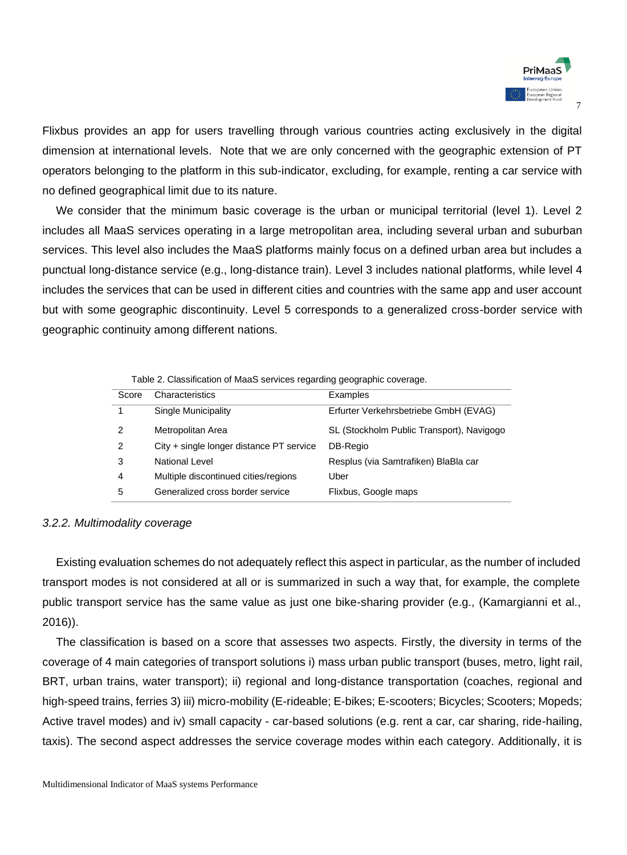

Flixbus provides an app for users travelling through various countries acting exclusively in the digital dimension at international levels. Note that we are only concerned with the geographic extension of PT operators belonging to the platform in this sub-indicator, excluding, for example, renting a car service with no defined geographical limit due to its nature.

We consider that the minimum basic coverage is the urban or municipal territorial (level 1). Level 2 includes all MaaS services operating in a large metropolitan area, including several urban and suburban services. This level also includes the MaaS platforms mainly focus on a defined urban area but includes a punctual long-distance service (e.g., long-distance train). Level 3 includes national platforms, while level 4 includes the services that can be used in different cities and countries with the same app and user account but with some geographic discontinuity. Level 5 corresponds to a generalized cross-border service with geographic continuity among different nations.

Table 2. Classification of MaaS services regarding geographic coverage.

| Score | Characteristics                            | Examples                                  |
|-------|--------------------------------------------|-------------------------------------------|
|       | Single Municipality                        | Erfurter Verkehrsbetriebe GmbH (EVAG)     |
| 2     | Metropolitan Area                          | SL (Stockholm Public Transport), Navigogo |
| 2     | $City + single longer distance PT$ service | DB-Regio                                  |
| 3     | National Level                             | Resplus (via Samtrafiken) BlaBla car      |
| 4     | Multiple discontinued cities/regions       | Uber                                      |
| 5     | Generalized cross border service           | Flixbus, Google maps                      |

#### *3.2.2. Multimodality coverage*

Existing evaluation schemes do not adequately reflect this aspect in particular, as the number of included transport modes is not considered at all or is summarized in such a way that, for example, the complete public transport service has the same value as just one bike-sharing provider (e.g., (Kamargianni et al., 2016)).

The classification is based on a score that assesses two aspects. Firstly, the diversity in terms of the coverage of 4 main categories of transport solutions i) mass urban public transport (buses, metro, light rail, BRT, urban trains, water transport); ii) regional and long-distance transportation (coaches, regional and high-speed trains, ferries 3) iii) micro-mobility (E-rideable; E-bikes; E-scooters; Bicycles; Scooters; Mopeds; Active travel modes) and iv) small capacity - car-based solutions (e.g. rent a car, car sharing, ride-hailing, taxis). The second aspect addresses the service coverage modes within each category. Additionally, it is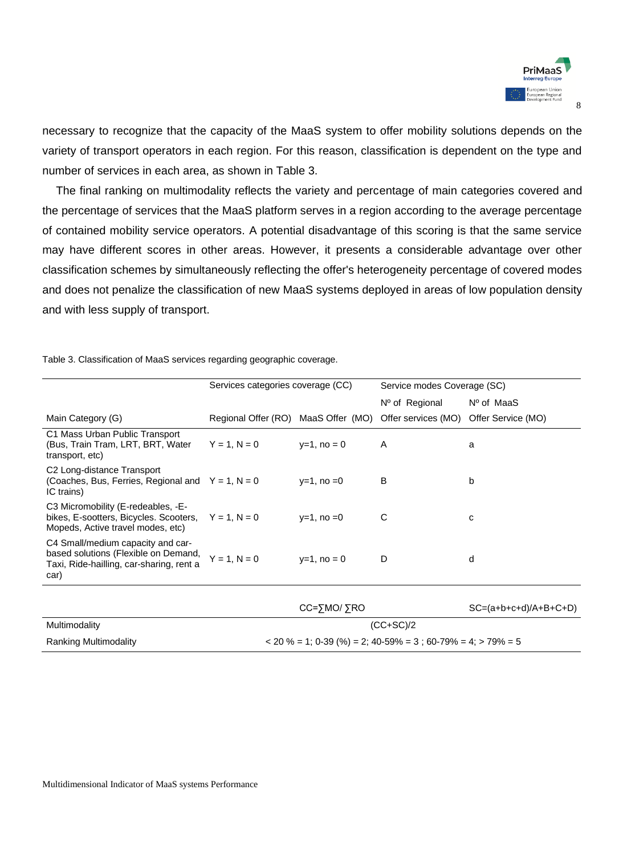

necessary to recognize that the capacity of the MaaS system to offer mobility solutions depends on the variety of transport operators in each region. For this reason, classification is dependent on the type and number of services in each area, as shown in Table 3.

The final ranking on multimodality reflects the variety and percentage of main categories covered and the percentage of services that the MaaS platform serves in a region according to the average percentage of contained mobility service operators. A potential disadvantage of this scoring is that the same service may have different scores in other areas. However, it presents a considerable advantage over other classification schemes by simultaneously reflecting the offer's heterogeneity percentage of covered modes and does not penalize the classification of new MaaS systems deployed in areas of low population density and with less supply of transport.

Table 3. Classification of MaaS services regarding geographic coverage.

|                                                                                                                                   | Services categories coverage (CC)   |                                                              | Service modes Coverage (SC) |                         |  |  |
|-----------------------------------------------------------------------------------------------------------------------------------|-------------------------------------|--------------------------------------------------------------|-----------------------------|-------------------------|--|--|
|                                                                                                                                   |                                     |                                                              | Nº of Regional              | $N^{\circ}$ of MaaS     |  |  |
| Main Category (G)                                                                                                                 | Regional Offer (RO) MaaS Offer (MO) |                                                              | Offer services (MO)         | Offer Service (MO)      |  |  |
| C1 Mass Urban Public Transport<br>(Bus, Train Tram, LRT, BRT, Water<br>transport, etc)                                            | $Y = 1, N = 0$                      | $y=1$ , no = 0                                               | A                           | a                       |  |  |
| C2 Long-distance Transport<br>(Coaches, Bus, Ferries, Regional and $Y = 1$ , N = 0<br>IC trains)                                  |                                     | $v=1$ , no $=0$                                              | B                           | b                       |  |  |
| C3 Micromobility (E-redeables, -E-<br>bikes, E-sootters, Bicycles. Scooters, $Y = 1$ , N = 0<br>Mopeds, Active travel modes, etc) |                                     | $y=1$ , no =0                                                | C                           | C                       |  |  |
| C4 Small/medium capacity and car-<br>based solutions (Flexible on Demand,<br>Taxi, Ride-hailling, car-sharing, rent a<br>car)     | $Y = 1, N = 0$                      | $y=1$ , no = 0                                               | D                           | d                       |  |  |
|                                                                                                                                   |                                     | CC=5MO/5RO                                                   |                             | $SC=(a+b+c+d)/A+B+C+D)$ |  |  |
| Multimodality                                                                                                                     |                                     | $(CC+SC)/2$                                                  |                             |                         |  |  |
| <b>Ranking Multimodality</b>                                                                                                      |                                     | $3336 = 1$ ; 0-39 (%) = 2; 40-59% = 3; 60-79% = 4; > 79% = 5 |                             |                         |  |  |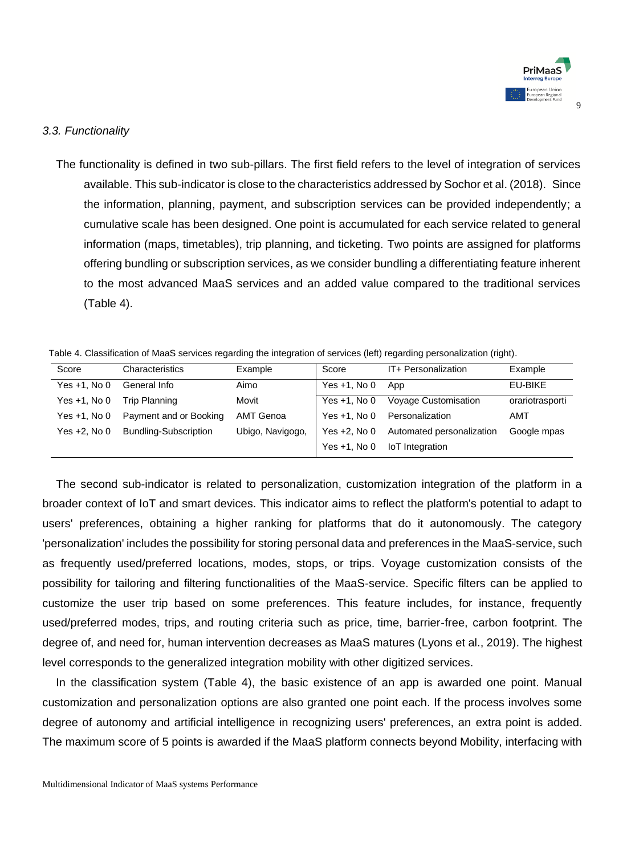

9

### *3.3. Functionality*

The functionality is defined in two sub-pillars. The first field refers to the level of integration of services available. This sub-indicator is close to the characteristics addressed by Sochor et al. (2018). Since the information, planning, payment, and subscription services can be provided independently; a cumulative scale has been designed. One point is accumulated for each service related to general information (maps, timetables), trip planning, and ticketing. Two points are assigned for platforms offering bundling or subscription services, as we consider bundling a differentiating feature inherent to the most advanced MaaS services and an added value compared to the traditional services (Table 4).

| Table 4. Classification of MaaS services regarding the integration of services (left) regarding personalization (right). |  |
|--------------------------------------------------------------------------------------------------------------------------|--|
|--------------------------------------------------------------------------------------------------------------------------|--|

| Score          | Characteristics        | Example          | Score           | IT+ Personalization       | Example         |
|----------------|------------------------|------------------|-----------------|---------------------------|-----------------|
| Yes +1, No 0   | General Info           | Aimo             | Yes $+1$ , No 0 | App                       | EU-BIKE         |
| Yes +1, No 0   | Trip Planning          | Movit            | Yes $+1$ . No 0 | Voyage Customisation      | orariotrasporti |
| $Yes +1. No 0$ | Payment and or Booking | AMT Genoa        | Yes $+1$ . No 0 | Personalization           | AMT             |
| Yes +2. No 0   | Bundling-Subscription  | Ubigo, Navigogo, | Yes $+2$ . No 0 | Automated personalization | Google mpas     |
|                |                        |                  | Yes $+1$ . No 0 | IoT Integration           |                 |

The second sub-indicator is related to personalization, customization integration of the platform in a broader context of IoT and smart devices. This indicator aims to reflect the platform's potential to adapt to users' preferences, obtaining a higher ranking for platforms that do it autonomously. The category 'personalization' includes the possibility for storing personal data and preferences in the MaaS-service, such as frequently used/preferred locations, modes, stops, or trips. Voyage customization consists of the possibility for tailoring and filtering functionalities of the MaaS-service. Specific filters can be applied to customize the user trip based on some preferences. This feature includes, for instance, frequently used/preferred modes, trips, and routing criteria such as price, time, barrier-free, carbon footprint. The degree of, and need for, human intervention decreases as MaaS matures (Lyons et al., 2019). The highest level corresponds to the generalized integration mobility with other digitized services.

In the classification system (Table 4), the basic existence of an app is awarded one point. Manual customization and personalization options are also granted one point each. If the process involves some degree of autonomy and artificial intelligence in recognizing users' preferences, an extra point is added. The maximum score of 5 points is awarded if the MaaS platform connects beyond Mobility, interfacing with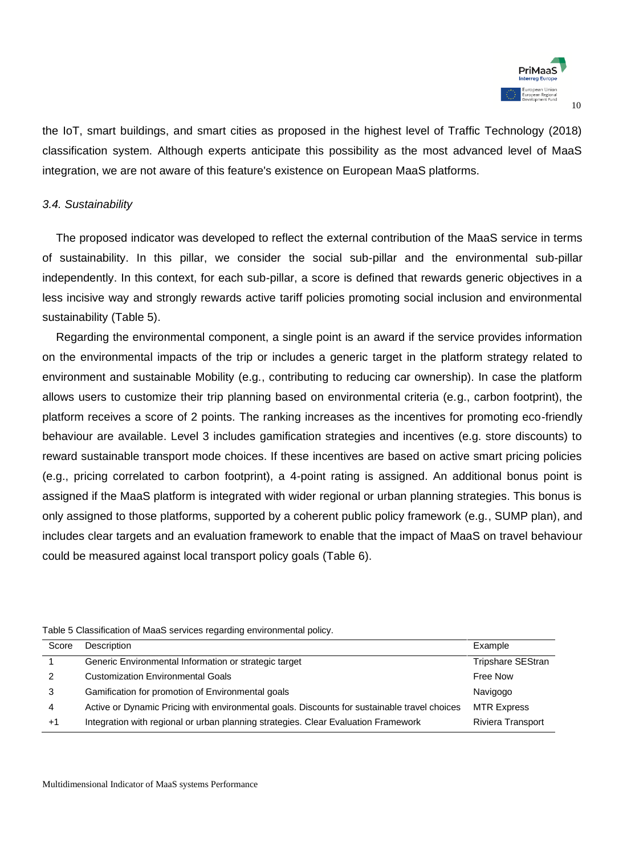

the IoT, smart buildings, and smart cities as proposed in the highest level of Traffic Technology (2018) classification system. Although experts anticipate this possibility as the most advanced level of MaaS integration, we are not aware of this feature's existence on European MaaS platforms.

#### *3.4. Sustainability*

The proposed indicator was developed to reflect the external contribution of the MaaS service in terms of sustainability. In this pillar, we consider the social sub-pillar and the environmental sub-pillar independently. In this context, for each sub-pillar, a score is defined that rewards generic objectives in a less incisive way and strongly rewards active tariff policies promoting social inclusion and environmental sustainability (Table 5).

Regarding the environmental component, a single point is an award if the service provides information on the environmental impacts of the trip or includes a generic target in the platform strategy related to environment and sustainable Mobility (e.g., contributing to reducing car ownership). In case the platform allows users to customize their trip planning based on environmental criteria (e.g., carbon footprint), the platform receives a score of 2 points. The ranking increases as the incentives for promoting eco-friendly behaviour are available. Level 3 includes gamification strategies and incentives (e.g. store discounts) to reward sustainable transport mode choices. If these incentives are based on active smart pricing policies (e.g., pricing correlated to carbon footprint), a 4-point rating is assigned. An additional bonus point is assigned if the MaaS platform is integrated with wider regional or urban planning strategies. This bonus is only assigned to those platforms, supported by a coherent public policy framework (e.g., SUMP plan), and includes clear targets and an evaluation framework to enable that the impact of MaaS on travel behaviour could be measured against local transport policy goals (Table 6).

| Score         | Description                                                                                  | Example                  |
|---------------|----------------------------------------------------------------------------------------------|--------------------------|
|               | Generic Environmental Information or strategic target                                        | <b>Tripshare SEStran</b> |
| $\mathcal{P}$ | <b>Customization Environmental Goals</b>                                                     | Free Now                 |
| 3             | Gamification for promotion of Environmental goals                                            | Navigogo                 |
| 4             | Active or Dynamic Pricing with environmental goals. Discounts for sustainable travel choices | <b>MTR Express</b>       |
| $+1$          | Integration with regional or urban planning strategies. Clear Evaluation Framework           | Riviera Transport        |

Table 5 Classification of MaaS services regarding environmental policy.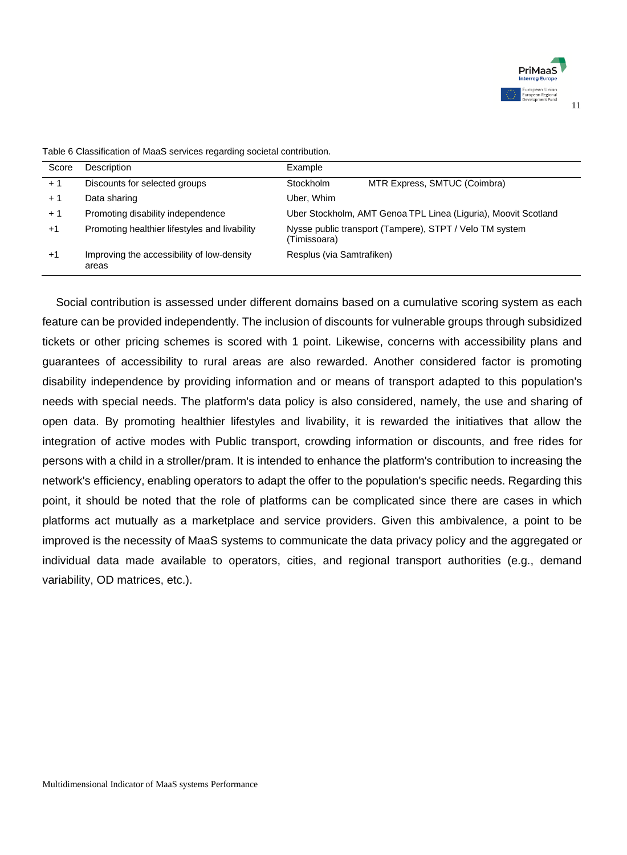

| Score | Description                                         | Example                   |                                                                |
|-------|-----------------------------------------------------|---------------------------|----------------------------------------------------------------|
| $+1$  | Discounts for selected groups                       | Stockholm                 | MTR Express, SMTUC (Coimbra)                                   |
| $+1$  | Data sharing                                        | Uber, Whim                |                                                                |
| $+1$  | Promoting disability independence                   |                           | Uber Stockholm, AMT Genoa TPL Linea (Liguria), Moovit Scotland |
| $+1$  | Promoting healthier lifestyles and livability       | (Timissoara)              | Nysse public transport (Tampere), STPT / Velo TM system        |
| $+1$  | Improving the accessibility of low-density<br>areas | Resplus (via Samtrafiken) |                                                                |

Table 6 Classification of MaaS services regarding societal contribution.

Social contribution is assessed under different domains based on a cumulative scoring system as each feature can be provided independently. The inclusion of discounts for vulnerable groups through subsidized tickets or other pricing schemes is scored with 1 point. Likewise, concerns with accessibility plans and guarantees of accessibility to rural areas are also rewarded. Another considered factor is promoting disability independence by providing information and or means of transport adapted to this population's needs with special needs. The platform's data policy is also considered, namely, the use and sharing of open data. By promoting healthier lifestyles and livability, it is rewarded the initiatives that allow the integration of active modes with Public transport, crowding information or discounts, and free rides for persons with a child in a stroller/pram. It is intended to enhance the platform's contribution to increasing the network's efficiency, enabling operators to adapt the offer to the population's specific needs. Regarding this point, it should be noted that the role of platforms can be complicated since there are cases in which platforms act mutually as a marketplace and service providers. Given this ambivalence, a point to be improved is the necessity of MaaS systems to communicate the data privacy policy and the aggregated or individual data made available to operators, cities, and regional transport authorities (e.g., demand variability, OD matrices, etc.).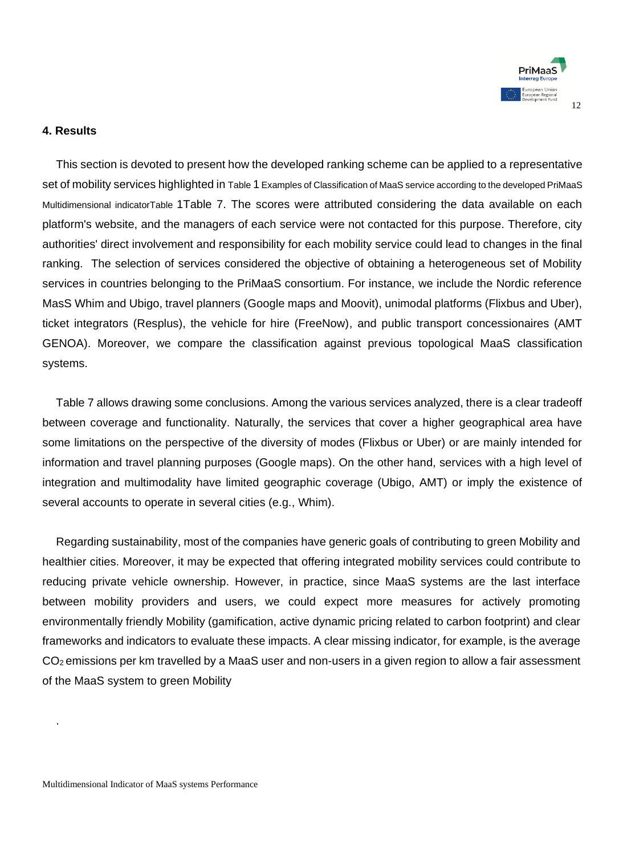

### **4. Results**

This section is devoted to present how the developed ranking scheme can be applied to a representative set of mobility services highlighted in Table 1 [Examples of Classification of MaaS service according to the developed PriMaaS](#page-12-0)  [Multidimensional indicatorTable](#page-12-0) [1T](#page-12-0)able 7. The scores were attributed considering the data available on each platform's website, and the managers of each service were not contacted for this purpose. Therefore, city authorities' direct involvement and responsibility for each mobility service could lead to changes in the final ranking. The selection of services considered the objective of obtaining a heterogeneous set of Mobility services in countries belonging to the PriMaaS consortium. For instance, we include the Nordic reference MasS Whim and Ubigo, travel planners (Google maps and Moovit), unimodal platforms (Flixbus and Uber), ticket integrators (Resplus), the vehicle for hire (FreeNow), and public transport concessionaires (AMT GENOA). Moreover, we compare the classification against previous topological MaaS classification systems.

Table 7 allows drawing some conclusions. Among the various services analyzed, there is a clear tradeoff between coverage and functionality. Naturally, the services that cover a higher geographical area have some limitations on the perspective of the diversity of modes (Flixbus or Uber) or are mainly intended for information and travel planning purposes (Google maps). On the other hand, services with a high level of integration and multimodality have limited geographic coverage (Ubigo, AMT) or imply the existence of several accounts to operate in several cities (e.g., Whim).

Regarding sustainability, most of the companies have generic goals of contributing to green Mobility and healthier cities. Moreover, it may be expected that offering integrated mobility services could contribute to reducing private vehicle ownership. However, in practice, since MaaS systems are the last interface between mobility providers and users, we could expect more measures for actively promoting environmentally friendly Mobility (gamification, active dynamic pricing related to carbon footprint) and clear frameworks and indicators to evaluate these impacts. A clear missing indicator, for example, is the average CO2 emissions per km travelled by a MaaS user and non-users in a given region to allow a fair assessment of the MaaS system to green Mobility

.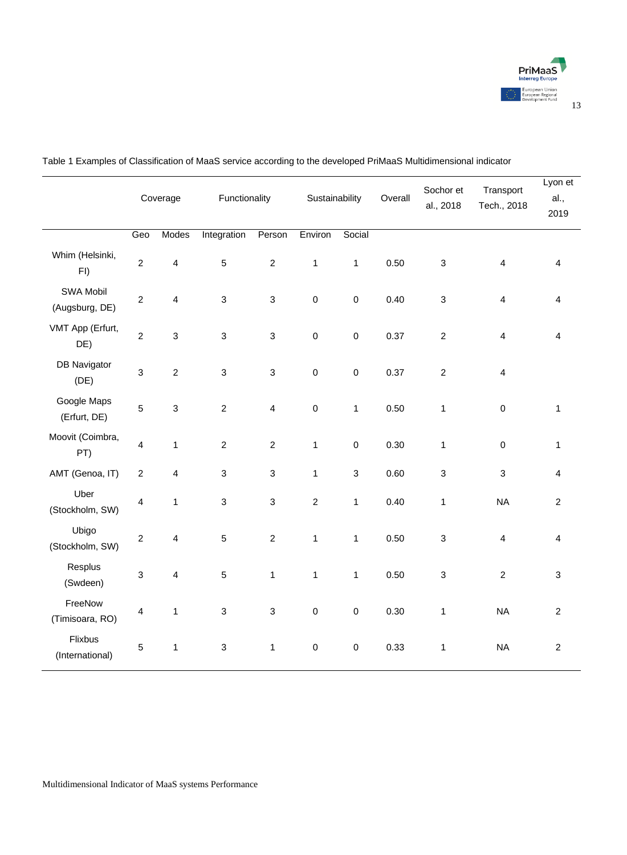

|                             |                | Coverage                | Functionality  |                  | Sustainability |              |      |                           | Overall                 | Sochor et<br>al., 2018  | Transport<br>Tech., 2018 | Lyon et<br>al.,<br>2019 |
|-----------------------------|----------------|-------------------------|----------------|------------------|----------------|--------------|------|---------------------------|-------------------------|-------------------------|--------------------------|-------------------------|
|                             | Geo            | Modes                   | Integration    | Person           | Environ        | Social       |      |                           |                         |                         |                          |                         |
| Whim (Helsinki,<br>FI)      | $\overline{c}$ | 4                       | 5              | $\overline{2}$   | $\mathbf{1}$   | $\mathbf{1}$ | 0.50 | $\mathsf 3$               | $\overline{\mathbf{4}}$ | $\overline{4}$          |                          |                         |
| SWA Mobil<br>(Augsburg, DE) | $\overline{2}$ | $\overline{\mathbf{4}}$ | 3              | $\mathsf 3$      | $\mathbf 0$    | $\mathbf 0$  | 0.40 | $\ensuremath{\mathsf{3}}$ | $\overline{4}$          | 4                       |                          |                         |
| VMT App (Erfurt,<br>DE)     | $\overline{c}$ | $\mathsf 3$             | 3              | 3                | $\mathbf 0$    | $\mathbf 0$  | 0.37 | $\overline{2}$            | $\overline{\mathbf{4}}$ | $\overline{4}$          |                          |                         |
| <b>DB Navigator</b><br>(DE) | $\mathsf 3$    | $\mathbf 2$             | 3              | 3                | $\pmb{0}$      | $\mathbf 0$  | 0.37 | $\sqrt{2}$                | $\overline{\mathbf{4}}$ |                         |                          |                         |
| Google Maps<br>(Erfurt, DE) | 5              | $\mathsf 3$             | $\overline{2}$ | $\overline{4}$   | $\pmb{0}$      | 1            | 0.50 | 1                         | $\mathbf 0$             | $\mathbf{1}$            |                          |                         |
| Moovit (Coimbra,<br>PT)     | 4              | 1                       | $\overline{c}$ | $\boldsymbol{2}$ | $\mathbf{1}$   | $\pmb{0}$    | 0.30 | 1                         | $\pmb{0}$               | 1                       |                          |                         |
| AMT (Genoa, IT)             | $\overline{2}$ | $\overline{\mathbf{4}}$ | 3              | 3                | $\mathbf{1}$   | 3            | 0.60 | $\mathbf{3}$              | 3                       | $\overline{\mathbf{4}}$ |                          |                         |
| Uber<br>(Stockholm, SW)     | 4              | 1                       | 3              | $\mathsf 3$      | $\mathbf 2$    | 1            | 0.40 | 1                         | <b>NA</b>               | $\sqrt{2}$              |                          |                         |
| Ubigo<br>(Stockholm, SW)    | $\overline{2}$ | 4                       | 5              | $\mathbf 2$      | $\mathbf{1}$   | $\mathbf{1}$ | 0.50 | $\mathsf 3$               | 4                       | 4                       |                          |                         |
| Resplus<br>(Swdeen)         | $\mathsf 3$    | $\overline{\mathbf{4}}$ | 5              | 1                | 1              | $\mathbf{1}$ | 0.50 | $\ensuremath{\mathsf{3}}$ | 2                       | 3                       |                          |                         |
| FreeNow<br>(Timisoara, RO)  | 4              | $\mathbf{1}$            | 3              | 3                | $\pmb{0}$      | $\mathbf 0$  | 0.30 | $\mathbf{1}$              | <b>NA</b>               | $\sqrt{2}$              |                          |                         |
| Flixbus<br>(International)  | 5              | 1                       | 3              | 1                | $\mathbf 0$    | $\mathbf 0$  | 0.33 | 1                         | <b>NA</b>               | $\sqrt{2}$              |                          |                         |
|                             |                |                         |                |                  |                |              |      |                           |                         |                         |                          |                         |

<span id="page-12-0"></span>Table 1 Examples of Classification of MaaS service according to the developed PriMaaS Multidimensional indicator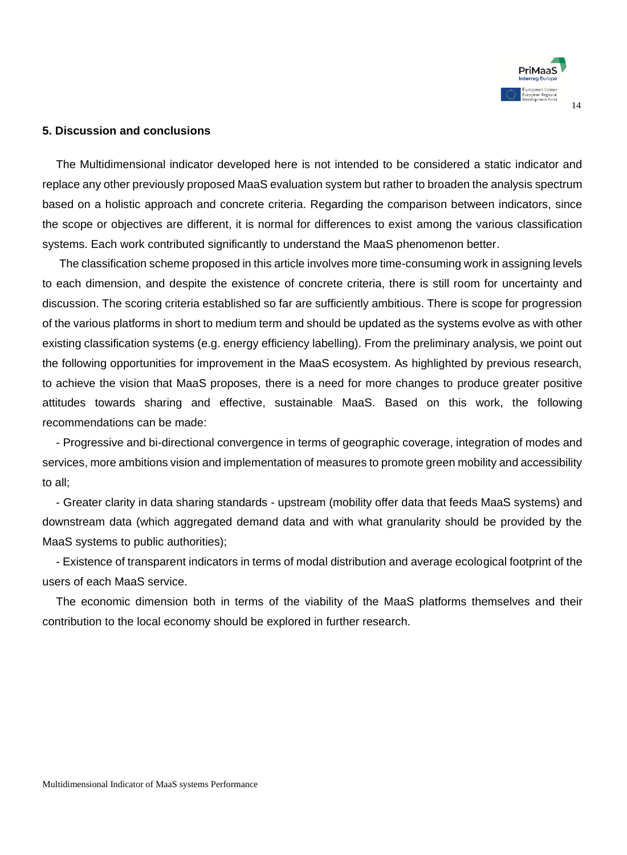

#### **5. Discussion and conclusions**

The Multidimensional indicator developed here is not intended to be considered a static indicator and replace any other previously proposed MaaS evaluation system but rather to broaden the analysis spectrum based on a holistic approach and concrete criteria. Regarding the comparison between indicators, since the scope or objectives are different, it is normal for differences to exist among the various classification systems. Each work contributed significantly to understand the MaaS phenomenon better.

The classification scheme proposed in this article involves more time-consuming work in assigning levels to each dimension, and despite the existence of concrete criteria, there is still room for uncertainty and discussion. The scoring criteria established so far are sufficiently ambitious. There is scope for progression of the various platforms in short to medium term and should be updated as the systems evolve as with other existing classification systems (e.g. energy efficiency labelling). From the preliminary analysis, we point out the following opportunities for improvement in the MaaS ecosystem. As highlighted by previous research, to achieve the vision that MaaS proposes, there is a need for more changes to produce greater positive attitudes towards sharing and effective, sustainable MaaS. Based on this work, the following recommendations can be made:

- Progressive and bi-directional convergence in terms of geographic coverage, integration of modes and services, more ambitions vision and implementation of measures to promote green mobility and accessibility to all;

- Greater clarity in data sharing standards - upstream (mobility offer data that feeds MaaS systems) and downstream data (which aggregated demand data and with what granularity should be provided by the MaaS systems to public authorities);

- Existence of transparent indicators in terms of modal distribution and average ecological footprint of the users of each MaaS service.

The economic dimension both in terms of the viability of the MaaS platforms themselves and their contribution to the local economy should be explored in further research.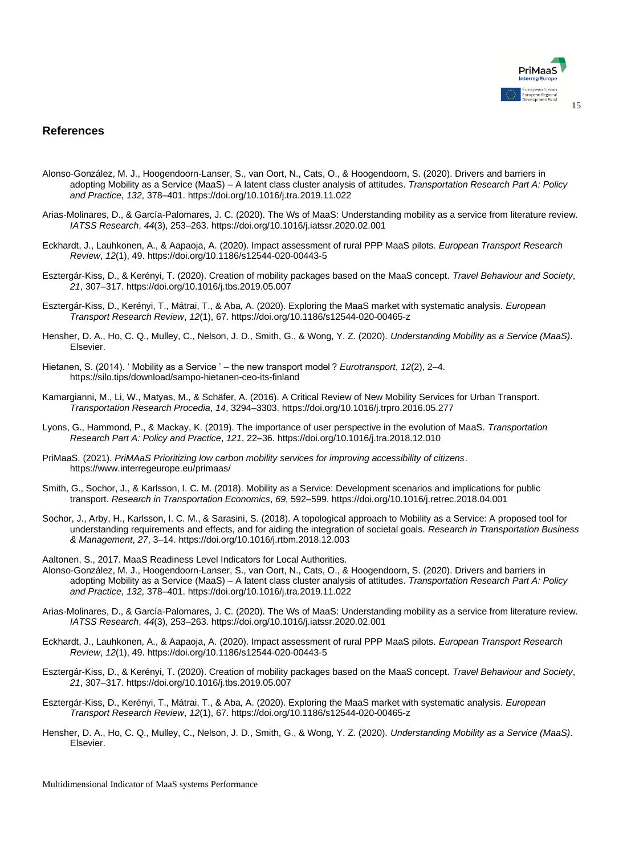

#### **References**

- Alonso-González, M. J., Hoogendoorn-Lanser, S., van Oort, N., Cats, O., & Hoogendoorn, S. (2020). Drivers and barriers in adopting Mobility as a Service (MaaS) – A latent class cluster analysis of attitudes. *Transportation Research Part A: Policy and Practice*, *132*, 378–401. https://doi.org/10.1016/j.tra.2019.11.022
- Arias-Molinares, D., & García-Palomares, J. C. (2020). The Ws of MaaS: Understanding mobility as a service from literature review. *IATSS Research*, *44*(3), 253–263. https://doi.org/10.1016/j.iatssr.2020.02.001
- Eckhardt, J., Lauhkonen, A., & Aapaoja, A. (2020). Impact assessment of rural PPP MaaS pilots. *European Transport Research Review*, *12*(1), 49. https://doi.org/10.1186/s12544-020-00443-5
- Esztergár-Kiss, D., & Kerényi, T. (2020). Creation of mobility packages based on the MaaS concept. *Travel Behaviour and Society*, *21*, 307–317. https://doi.org/10.1016/j.tbs.2019.05.007
- Esztergár-Kiss, D., Kerényi, T., Mátrai, T., & Aba, A. (2020). Exploring the MaaS market with systematic analysis. *European Transport Research Review*, *12*(1), 67. https://doi.org/10.1186/s12544-020-00465-z
- Hensher, D. A., Ho, C. Q., Mulley, C., Nelson, J. D., Smith, G., & Wong, Y. Z. (2020). *Understanding Mobility as a Service (MaaS)*. Elsevier.
- Hietanen, S. (2014). ' Mobility as a Service ' the new transport model ? *Eurotransport*, *12*(2), 2–4. https://silo.tips/download/sampo-hietanen-ceo-its-finland
- Kamargianni, M., Li, W., Matyas, M., & Schäfer, A. (2016). A Critical Review of New Mobility Services for Urban Transport. *Transportation Research Procedia*, *14*, 3294–3303. https://doi.org/10.1016/j.trpro.2016.05.277
- Lyons, G., Hammond, P., & Mackay, K. (2019). The importance of user perspective in the evolution of MaaS. *Transportation Research Part A: Policy and Practice*, *121*, 22–36. https://doi.org/10.1016/j.tra.2018.12.010
- PriMaaS. (2021). *PriMAaS Prioritizing low carbon mobility services for improving accessibility of citizens*. https://www.interregeurope.eu/primaas/
- Smith, G., Sochor, J., & Karlsson, I. C. M. (2018). Mobility as a Service: Development scenarios and implications for public transport. *Research in Transportation Economics*, *69*, 592–599. https://doi.org/10.1016/j.retrec.2018.04.001
- Sochor, J., Arby, H., Karlsson, I. C. M., & Sarasini, S. (2018). A topological approach to Mobility as a Service: A proposed tool for understanding requirements and effects, and for aiding the integration of societal goals. *Research in Transportation Business & Management*, *27*, 3–14. https://doi.org/10.1016/j.rtbm.2018.12.003
- Aaltonen, S., 2017. MaaS Readiness Level Indicators for Local Authorities.
- Alonso-González, M. J., Hoogendoorn-Lanser, S., van Oort, N., Cats, O., & Hoogendoorn, S. (2020). Drivers and barriers in adopting Mobility as a Service (MaaS) – A latent class cluster analysis of attitudes. *Transportation Research Part A: Policy and Practice*, *132*, 378–401. https://doi.org/10.1016/j.tra.2019.11.022
- Arias-Molinares, D., & García-Palomares, J. C. (2020). The Ws of MaaS: Understanding mobility as a service from literature review. *IATSS Research*, *44*(3), 253–263. https://doi.org/10.1016/j.iatssr.2020.02.001
- Eckhardt, J., Lauhkonen, A., & Aapaoja, A. (2020). Impact assessment of rural PPP MaaS pilots. *European Transport Research Review*, *12*(1), 49. https://doi.org/10.1186/s12544-020-00443-5
- Esztergár-Kiss, D., & Kerényi, T. (2020). Creation of mobility packages based on the MaaS concept. *Travel Behaviour and Society*, *21*, 307–317. https://doi.org/10.1016/j.tbs.2019.05.007
- Esztergár-Kiss, D., Kerényi, T., Mátrai, T., & Aba, A. (2020). Exploring the MaaS market with systematic analysis. *European Transport Research Review*, *12*(1), 67. https://doi.org/10.1186/s12544-020-00465-z
- Hensher, D. A., Ho, C. Q., Mulley, C., Nelson, J. D., Smith, G., & Wong, Y. Z. (2020). *Understanding Mobility as a Service (MaaS)*. Elsevier.